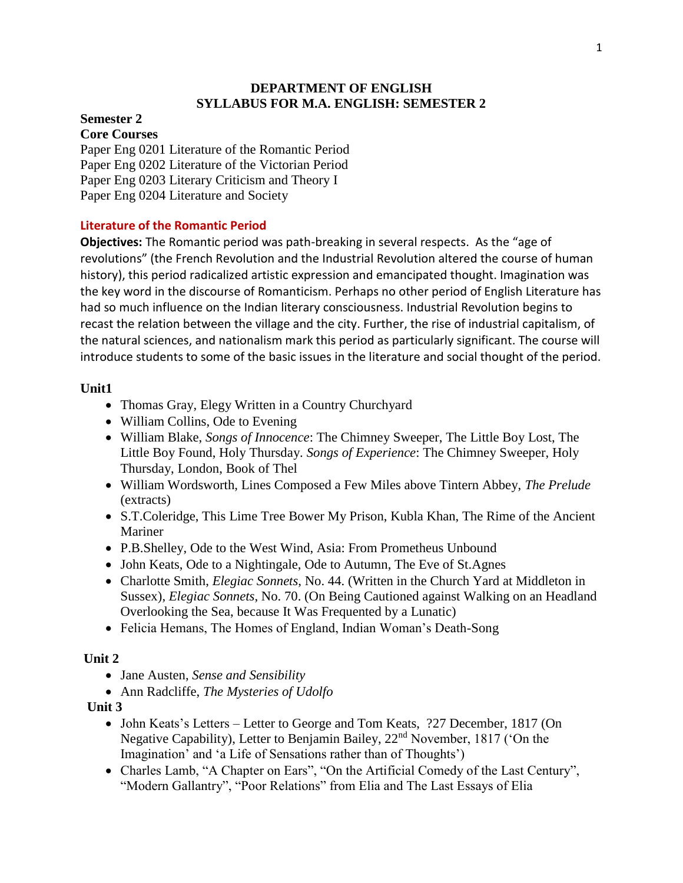### **DEPARTMENT OF ENGLISH SYLLABUS FOR M.A. ENGLISH: SEMESTER 2**

#### **Semester 2 Core Courses**

Paper Eng 0201 Literature of the Romantic Period Paper Eng 0202 Literature of the Victorian Period Paper Eng 0203 Literary Criticism and Theory I Paper Eng 0204 Literature and Society

## **Literature of the Romantic Period**

**Objectives:** The Romantic period was path-breaking in several respects. As the "age of revolutions" (the French Revolution and the Industrial Revolution altered the course of human history), this period radicalized artistic expression and emancipated thought. Imagination was the key word in the discourse of Romanticism. Perhaps no other period of English Literature has had so much influence on the Indian literary consciousness. Industrial Revolution begins to recast the relation between the village and the city. Further, the rise of industrial capitalism, of the natural sciences, and nationalism mark this period as particularly significant. The course will introduce students to some of the basic issues in the literature and social thought of the period.

### **Unit1**

- Thomas Gray, Elegy Written in a Country Churchyard
- William Collins, Ode to Evening
- William Blake, *Songs of Innocence*: The Chimney Sweeper, The Little Boy Lost, The Little Boy Found, Holy Thursday. *Songs of Experience*: The Chimney Sweeper, Holy Thursday, London, Book of Thel
- William Wordsworth, Lines Composed a Few Miles above Tintern Abbey, *The Prelude* (extracts)
- S.T.Coleridge, This Lime Tree Bower My Prison, Kubla Khan, The Rime of the Ancient Mariner
- P.B.Shelley, Ode to the West Wind, Asia: From Prometheus Unbound
- John Keats, Ode to a Nightingale, Ode to Autumn, The Eve of St.Agnes
- Charlotte Smith, *Elegiac Sonnets*, No. 44. (Written in the Church Yard at Middleton in Sussex), *Elegiac Sonnets*, No. 70. (On Being Cautioned against Walking on an Headland Overlooking the Sea, because It Was Frequented by a Lunatic)
- Felicia Hemans, The Homes of England, Indian Woman's Death-Song

# **Unit 2**

- Jane Austen, *Sense and Sensibility*
- Ann Radcliffe, *The Mysteries of Udolfo*

# **Unit 3**

- John Keats's Letters Letter to George and Tom Keats, ?27 December, 1817 (On Negative Capability), Letter to Benjamin Bailey, 22<sup>nd</sup> November, 1817 ('On the Imagination' and 'a Life of Sensations rather than of Thoughts')
- Charles Lamb, "A Chapter on Ears", "On the Artificial Comedy of the Last Century", "Modern Gallantry", "Poor Relations" from Elia and The Last Essays of Elia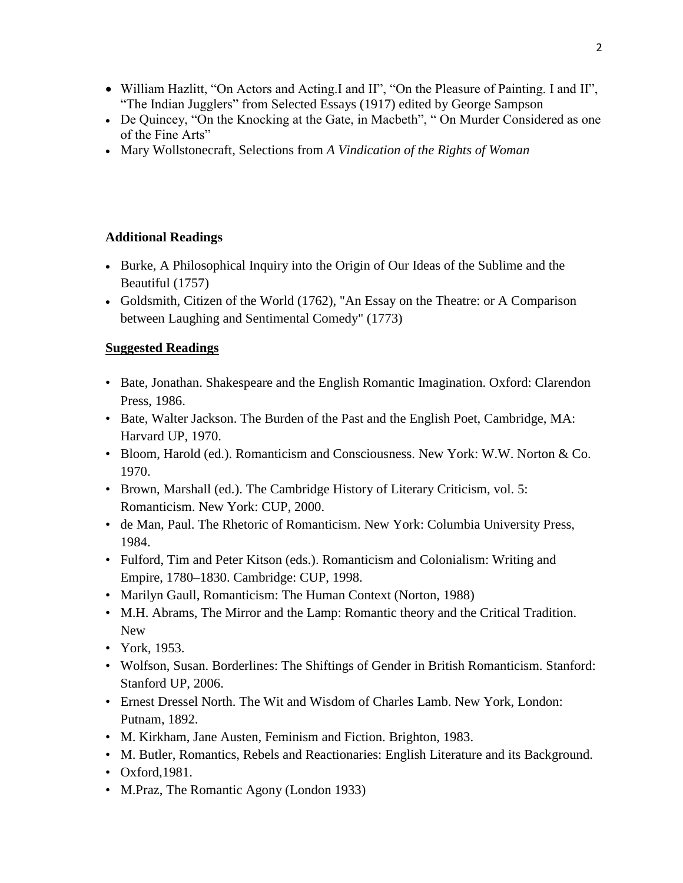- William Hazlitt, "On Actors and Acting.I and II", "On the Pleasure of Painting. I and II", "The Indian Jugglers" from Selected Essays (1917) edited by George Sampson
- De Quincey, "On the Knocking at the Gate, in Macbeth", " On Murder Considered as one of the Fine Arts"
- Mary Wollstonecraft, Selections from *A Vindication of the Rights of Woman*

# **Additional Readings**

- Burke, A Philosophical Inquiry into the Origin of Our Ideas of the Sublime and the Beautiful (1757)
- Goldsmith, Citizen of the World (1762), "An Essay on the Theatre: or A Comparison between Laughing and Sentimental Comedy" (1773)

# **Suggested Readings**

- Bate, Jonathan. Shakespeare and the English Romantic Imagination. Oxford: Clarendon Press, 1986.
- Bate, Walter Jackson. The Burden of the Past and the English Poet, Cambridge, MA: Harvard UP, 1970.
- Bloom, Harold (ed.). Romanticism and Consciousness. New York: W.W. Norton & Co. 1970.
- Brown, Marshall (ed.). The Cambridge History of Literary Criticism, vol. 5: Romanticism. New York: CUP, 2000.
- de Man, Paul. The Rhetoric of Romanticism. New York: Columbia University Press, 1984.
- Fulford, Tim and Peter Kitson (eds.). Romanticism and Colonialism: Writing and Empire, 1780–1830. Cambridge: CUP, 1998.
- Marilyn Gaull, Romanticism: The Human Context (Norton, 1988)
- M.H. Abrams, The Mirror and the Lamp: Romantic theory and the Critical Tradition. New
- York, 1953.
- Wolfson, Susan. Borderlines: The Shiftings of Gender in British Romanticism. Stanford: Stanford UP, 2006.
- Ernest Dressel North. The Wit and Wisdom of Charles Lamb. New York, London: Putnam, 1892.
- M. Kirkham, Jane Austen, Feminism and Fiction. Brighton, 1983.
- M. Butler, Romantics, Rebels and Reactionaries: English Literature and its Background.
- Oxford,1981.
- M.Praz, The Romantic Agony (London 1933)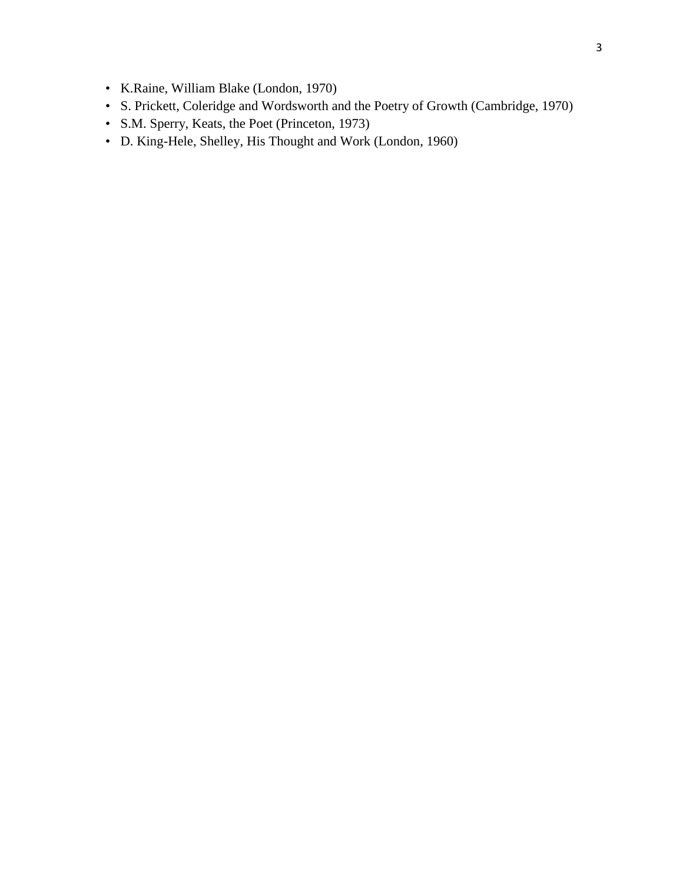- K.Raine, William Blake (London, 1970)
- S. Prickett, Coleridge and Wordsworth and the Poetry of Growth (Cambridge, 1970)
- S.M. Sperry, Keats, the Poet (Princeton, 1973)
- D. King-Hele, Shelley, His Thought and Work (London, 1960)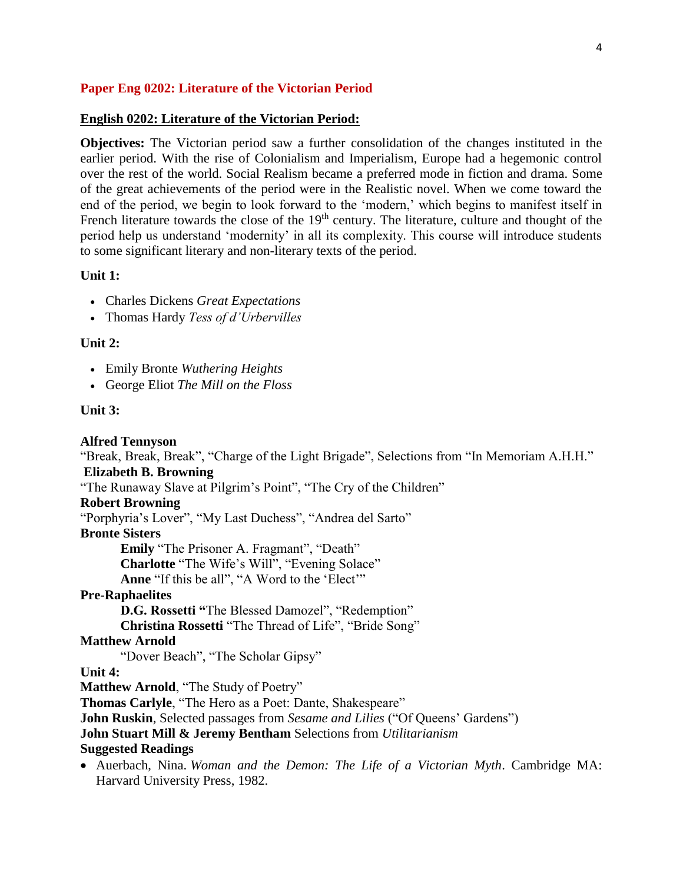### **Paper Eng 0202: Literature of the Victorian Period**

#### **English 0202: Literature of the Victorian Period:**

**Objectives:** The Victorian period saw a further consolidation of the changes instituted in the earlier period. With the rise of Colonialism and Imperialism, Europe had a hegemonic control over the rest of the world. Social Realism became a preferred mode in fiction and drama. Some of the great achievements of the period were in the Realistic novel. When we come toward the end of the period, we begin to look forward to the 'modern,' which begins to manifest itself in French literature towards the close of the 19<sup>th</sup> century. The literature, culture and thought of the period help us understand 'modernity' in all its complexity. This course will introduce students to some significant literary and non-literary texts of the period.

#### **Unit 1:**

- Charles Dickens *Great Expectations*
- Thomas Hardy *Tess of d'Urbervilles*

#### **Unit 2:**

- Emily Bronte *Wuthering Heights*
- George Eliot *The Mill on the Floss*

#### **Unit 3:**

**Alfred Tennyson**  "Break, Break, Break", "Charge of the Light Brigade", Selections from "In Memoriam A.H.H." **Elizabeth B. Browning**  "The Runaway Slave at Pilgrim's Point", "The Cry of the Children" **Robert Browning** "Porphyria's Lover", "My Last Duchess", "Andrea del Sarto" **Bronte Sisters Emily** "The Prisoner A. Fragmant", "Death" **Charlotte** "The Wife's Will", "Evening Solace" **Anne** "If this be all", "A Word to the 'Elect'" **Pre-Raphaelites D.G. Rossetti "**The Blessed Damozel", "Redemption" **Christina Rossetti** "The Thread of Life", "Bride Song" **Matthew Arnold** "Dover Beach", "The Scholar Gipsy" **Unit 4: Matthew Arnold**, "The Study of Poetry" **Thomas Carlyle**, "The Hero as a Poet: Dante, Shakespeare" **John Ruskin**, Selected passages from *Sesame and Lilies* ("Of Queens' Gardens") **John Stuart Mill & Jeremy Bentham** Selections from *Utilitarianism*  **Suggested Readings** Auerbach, Nina. *Woman and the Demon: The Life of a Victorian Myth*. Cambridge MA: Harvard University Press, 1982.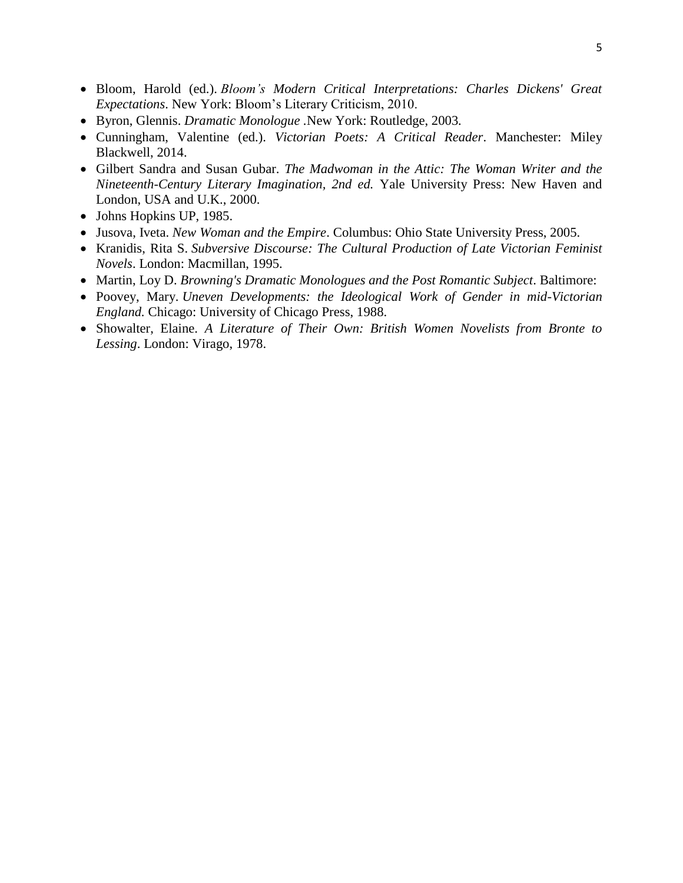- Bloom, Harold (ed.). *Bloom's Modern Critical Interpretations: Charles Dickens' Great Expectations*. New York: Bloom's Literary Criticism, 2010.
- Byron, Glennis. *Dramatic Monologue .*New York: Routledge, 2003*.*
- Cunningham, Valentine (ed.). *Victorian Poets: A Critical Reader*. Manchester: Miley Blackwell, 2014.
- Gilbert Sandra and Susan Gubar. *The Madwoman in the Attic: The Woman Writer and the Nineteenth-Century Literary Imagination, 2nd ed.* Yale University Press: New Haven and London, USA and U.K., 2000.
- Johns Hopkins UP, 1985.
- Jusova, Iveta. *New Woman and the Empire*. Columbus: Ohio State University Press, 2005.
- Kranidis, Rita S. *Subversive Discourse: The Cultural Production of Late Victorian Feminist Novels*. London: Macmillan, 1995.
- Martin, Loy D. *Browning's Dramatic Monologues and the Post Romantic Subject*. Baltimore:
- Poovey, Mary. *Uneven Developments: the Ideological Work of Gender in mid-Victorian England.* Chicago: University of Chicago Press, 1988.
- Showalter, Elaine. *A Literature of Their Own: British Women Novelists from Bronte to Lessing*. London: Virago, 1978.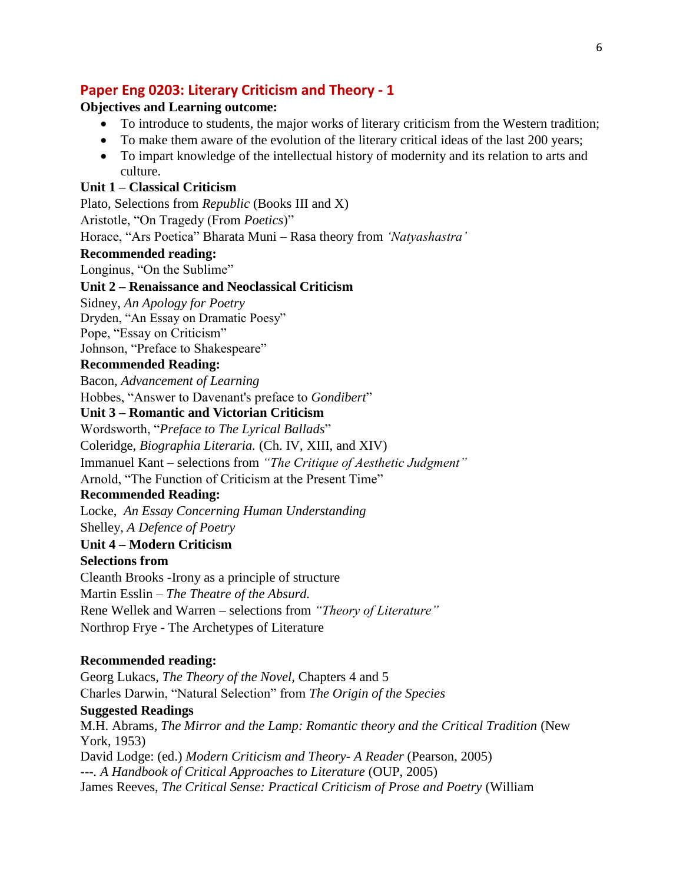# **Paper Eng 0203: Literary Criticism and Theory - 1**

### **Objectives and Learning outcome:**

- To introduce to students, the major works of literary criticism from the Western tradition;
- To make them aware of the evolution of the literary critical ideas of the last 200 years;
- To impart knowledge of the intellectual history of modernity and its relation to arts and culture.

### **Unit 1 – Classical Criticism**

Plato, Selections from *Republic* (Books III and X)

Aristotle, "On Tragedy (From *Poetics*)"

Horace, "Ars Poetica" Bharata Muni – Rasa theory from *'Natyashastra'*

### **Recommended reading:**

Longinus, "On the Sublime"

#### **Unit 2 – Renaissance and Neoclassical Criticism**

Sidney, *An Apology for Poetry*

Dryden, "An Essay on Dramatic Poesy"

Pope, "Essay on Criticism"

Johnson, "Preface to Shakespeare"

### **Recommended Reading:**

Bacon, *Advancement of Learning*

Hobbes, "Answer to Davenant's preface to *Gondibert*"

## **Unit 3 – Romantic and Victorian Criticism**

Wordsworth, "*Preface to The Lyrical Ballads*"

Coleridge, *Biographia Literaria.* (Ch. IV, XIII, and XIV)

Immanuel Kant – selections from *"The Critique of Aesthetic Judgment"*

Arnold, "The Function of Criticism at the Present Time"

#### **Recommended Reading:**

Locke, *An Essay Concerning Human Understanding*

Shelley, *A Defence of Poetry*

#### **Unit 4 – Modern Criticism Selections from**

Cleanth Brooks -Irony as a principle of structure Martin Esslin – *The Theatre of the Absurd.* Rene Wellek and Warren – selections from *"Theory of Literature"* Northrop Frye - The Archetypes of Literature

### **Recommended reading:**

Georg Lukacs, *The Theory of the Novel,* Chapters 4 and 5 Charles Darwin, "Natural Selection" from *The Origin of the Species* **Suggested Readings** M.H. Abrams, *The Mirror and the Lamp: Romantic theory and the Critical Tradition* (New York, 1953) David Lodge: (ed.) *Modern Criticism and Theory- A Reader* (Pearson, 2005) *---. A Handbook of Critical Approaches to Literature* (OUP, 2005) James Reeves, *The Critical Sense: Practical Criticism of Prose and Poetry* (William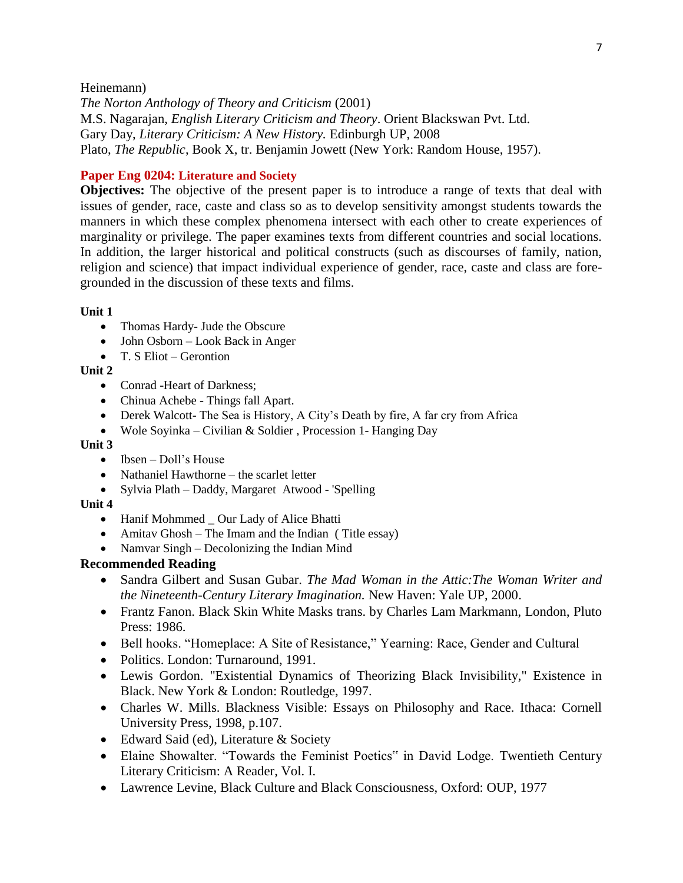#### Heinemann)

*The Norton Anthology of Theory and Criticism* (2001) M.S. Nagarajan, *English Literary Criticism and Theory*. Orient Blackswan Pvt. Ltd. Gary Day, *Literary Criticism: A New History.* Edinburgh UP, 2008 Plato, *The Republic*, Book X, tr. Benjamin Jowett (New York: Random House, 1957).

#### **Paper Eng 0204: Literature and Society**

**Objectives:** The objective of the present paper is to introduce a range of texts that deal with issues of gender, race, caste and class so as to develop sensitivity amongst students towards the manners in which these complex phenomena intersect with each other to create experiences of marginality or privilege. The paper examines texts from different countries and social locations. In addition, the larger historical and political constructs (such as discourses of family, nation, religion and science) that impact individual experience of gender, race, caste and class are foregrounded in the discussion of these texts and films.

#### **Unit 1**

- Thomas Hardy- Jude the Obscure
- John Osborn Look Back in Anger
- $\bullet$  T. S Eliot Gerontion

### **Unit 2**

- Conrad -Heart of Darkness:
- Chinua Achebe Things fall Apart.
- Derek Walcott- The Sea is History, A City's Death by fire, A far cry from Africa
- Wole Soyinka Civilian & Soldier , Procession 1- Hanging Day

#### **Unit 3**

- $\bullet$  Ibsen Doll's House
- Nathaniel Hawthorne the scarlet letter
- Sylvia Plath Daddy, Margaret Atwood 'Spelling

#### **Unit 4**

- Hanif Mohmmed Our Lady of Alice Bhatti
- Amitav Ghosh The Imam and the Indian (Title essay)
- Namvar Singh Decolonizing the Indian Mind

### **Recommended Reading**

- Sandra Gilbert and Susan Gubar. *The Mad Woman in the Attic:The Woman Writer and the Nineteenth-Century Literary Imagination.* New Haven: Yale UP, 2000.
- Frantz Fanon. Black Skin White Masks trans. by Charles Lam Markmann, London, Pluto Press: 1986.
- Bell hooks. "Homeplace: A Site of Resistance," Yearning: Race, Gender and Cultural
- Politics. London: Turnaround, 1991.
- Lewis Gordon. "Existential Dynamics of Theorizing Black Invisibility," Existence in Black. New York & London: Routledge, 1997.
- Charles W. Mills. Blackness Visible: Essays on Philosophy and Race. Ithaca: Cornell University Press, 1998, p.107.
- Edward Said (ed), Literature & Society
- Elaine Showalter. "Towards the Feminist Poetics" in David Lodge. Twentieth Century Literary Criticism: A Reader, Vol. I.
- Lawrence Levine, Black Culture and Black Consciousness, Oxford: OUP, 1977